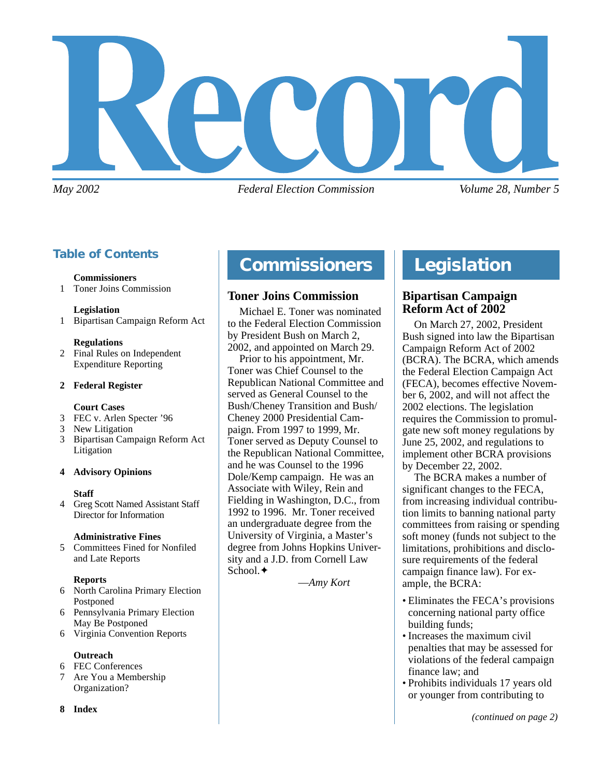

*May 2002 Federal Election Commission Volume 28, Number 5*

# **Table of Contents**

### **Commissioners**

1 Toner Joins Commission

### **Legislation**

1 Bipartisan Campaign Reform Act

### **Regulations**

2 Final Rules on Independent Expenditure Reporting

### **2 Federal Register**

### **Court Cases**

- 3 FEC v. Arlen Specter '96
- 3 New Litigation
- 3 Bipartisan Campaign Reform Act Litigation

### **4 Advisory Opinions**

### **Staff**

4 Greg Scott Named Assistant Staff Director for Information

### **Administrative Fines**

5 Committees Fined for Nonfiled and Late Reports

### **Reports**

- 6 North Carolina Primary Election Postponed
- 6 Pennsylvania Primary Election May Be Postponed
- 6 Virginia Convention Reports

### **Outreach**

- 6 FEC Conferences
- 7 Are You a Membership Organization?

### **8 Index**

# **Compliance Commissioners Legislation**

### **Toner Joins Commission**

Michael E. Toner was nominated to the Federal Election Commission by President Bush on March 2, 2002, and appointed on March 29.

Prior to his appointment, Mr. Toner was Chief Counsel to the Republican National Committee and served as General Counsel to the Bush/Cheney Transition and Bush/ Cheney 2000 Presidential Campaign. From 1997 to 1999, Mr. Toner served as Deputy Counsel to the Republican National Committee, and he was Counsel to the 1996 Dole/Kemp campaign. He was an Associate with Wiley, Rein and Fielding in Washington, D.C., from 1992 to 1996. Mr. Toner received an undergraduate degree from the University of Virginia, a Master's degree from Johns Hopkins University and a J.D. from Cornell Law School.✦

—*Amy Kort*

# **Bipartisan Campaign Reform Act of 2002**

On March 27, 2002, President Bush signed into law the Bipartisan Campaign Reform Act of 2002 (BCRA). The BCRA, which amends the Federal Election Campaign Act (FECA), becomes effective November 6, 2002, and will not affect the 2002 elections. The legislation requires the Commission to promulgate new soft money regulations by June 25, 2002, and regulations to implement other BCRA provisions by December 22, 2002.

The BCRA makes a number of significant changes to the FECA, from increasing individual contribution limits to banning national party committees from raising or spending soft money (funds not subject to the limitations, prohibitions and disclosure requirements of the federal campaign finance law). For example, the BCRA:

- Eliminates the FECA's provisions concerning national party office building funds;
- Increases the maximum civil penalties that may be assessed for violations of the federal campaign finance law; and
- Prohibits individuals 17 years old or younger from contributing to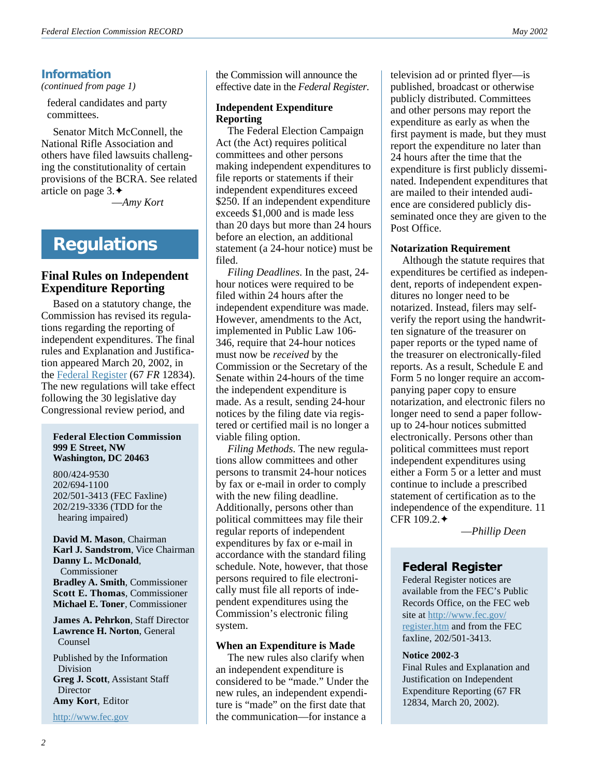# **Information**

*(continued from page 1)*

federal candidates and party committees.

Senator Mitch McConnell, the National Rifle Association and others have filed lawsuits challenging the constitutionality of certain provisions of the BCRA. See related article on page 3.✦

—*Amy Kort*

# **Regulations**

### **Final Rules on Independent Expenditure Reporting**

Based on a statutory change, the Commission has revised its regulations regarding the reporting of independent expenditures. The final rules and Explanation and Justification appeared March 20, 2002, in the [Federal Register](http://www.fec.gov/register.htm) (67 *FR* 12834). The new regulations will take effect following the 30 legislative day Congressional review period, and

#### **Federal Election Commission 999 E Street, NW Washington, DC 20463**

800/424-9530 202/694-1100 202/501-3413 (FEC Faxline) 202/219-3336 (TDD for the hearing impaired)

**David M. Mason**, Chairman **Karl J. Sandstrom**, Vice Chairman **Danny L. McDonald**, Commissioner **Bradley A. Smith**, Commissioner **Scott E. Thomas**, Commissioner **Michael E. Toner**, Commissioner

**James A. Pehrkon**, Staff Director **Lawrence H. Norton**, General Counsel

Published by the Information Division **Greg J. Scott**, Assistant Staff **Director Amy Kort**, Editor

<http://www.fec.gov>

the Commission will announce the effective date in the *Federal Register*.

### **Independent Expenditure Reporting**

The Federal Election Campaign Act (the Act) requires political committees and other persons making independent expenditures to file reports or statements if their independent expenditures exceed \$250. If an independent expenditure exceeds \$1,000 and is made less than 20 days but more than 24 hours before an election, an additional statement (a 24-hour notice) must be filed.

*Filing Deadlines*. In the past, 24 hour notices were required to be filed within 24 hours after the independent expenditure was made. However, amendments to the Act, implemented in Public Law 106- 346, require that 24-hour notices must now be *received* by the Commission or the Secretary of the Senate within 24-hours of the time the independent expenditure is made. As a result, sending 24-hour notices by the filing date via registered or certified mail is no longer a viable filing option.

*Filing Methods*. The new regulations allow committees and other persons to transmit 24-hour notices by fax or e-mail in order to comply with the new filing deadline. Additionally, persons other than political committees may file their regular reports of independent expenditures by fax or e-mail in accordance with the standard filing schedule. Note, however, that those persons required to file electronically must file all reports of independent expenditures using the Commission's electronic filing system.

### **When an Expenditure is Made**

The new rules also clarify when an independent expenditure is considered to be "made." Under the new rules, an independent expenditure is "made" on the first date that the communication—for instance a

television ad or printed flyer—is published, broadcast or otherwise publicly distributed. Committees and other persons may report the expenditure as early as when the first payment is made, but they must report the expenditure no later than 24 hours after the time that the expenditure is first publicly disseminated. Independent expenditures that are mailed to their intended audience are considered publicly disseminated once they are given to the Post Office.

### **Notarization Requirement**

Although the statute requires that expenditures be certified as independent, reports of independent expenditures no longer need to be notarized. Instead, filers may selfverify the report using the handwritten signature of the treasurer on paper reports or the typed name of the treasurer on electronically-filed reports. As a result, Schedule E and Form 5 no longer require an accompanying paper copy to ensure notarization, and electronic filers no longer need to send a paper followup to 24-hour notices submitted electronically. Persons other than political committees must report independent expenditures using either a Form 5 or a letter and must continue to include a prescribed statement of certification as to the independence of the expenditure. 11 CFR 109.2.✦

—*Phillip Deen*

### **Federal Register**

Federal Register notices are available from the FEC's Public Records Office, on the FEC web site at [http://www.fec.gov/](http://www.fec.gov/register.htm) [register.htm](http://www.fec.gov/register.htm) and from the FEC faxline, 202/501-3413.

### **Notice 2002-3**

Final Rules and Explanation and Justification on Independent Expenditure Reporting (67 FR 12834, March 20, 2002).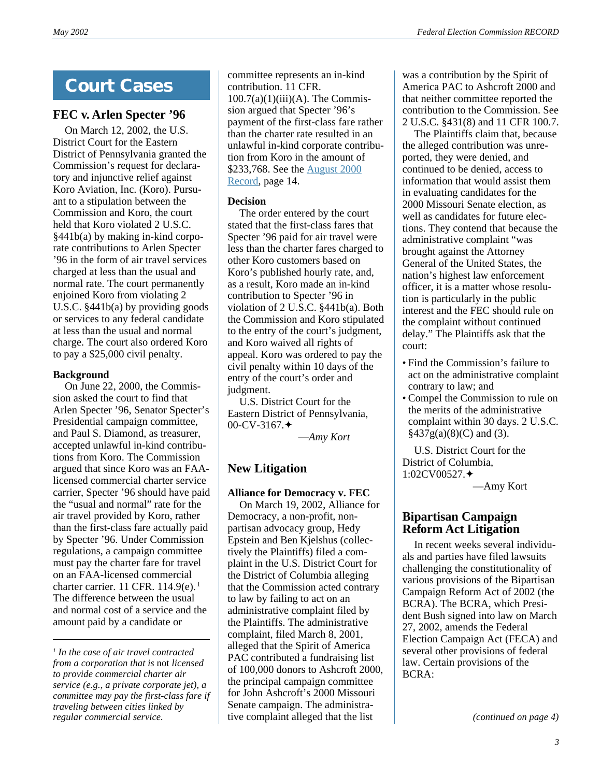# **Court Cases**

# **FEC v. Arlen Specter '96**

On March 12, 2002, the U.S. District Court for the Eastern District of Pennsylvania granted the Commission's request for declaratory and injunctive relief against Koro Aviation, Inc. (Koro). Pursuant to a stipulation between the Commission and Koro, the court held that Koro violated 2 U.S.C. §441b(a) by making in-kind corporate contributions to Arlen Specter '96 in the form of air travel services charged at less than the usual and normal rate. The court permanently enjoined Koro from violating 2 U.S.C. §441b(a) by providing goods or services to any federal candidate at less than the usual and normal charge. The court also ordered Koro to pay a \$25,000 civil penalty.

### **Background**

On June 22, 2000, the Commission asked the court to find that Arlen Specter '96, Senator Specter's Presidential campaign committee, and Paul S. Diamond, as treasurer, accepted unlawful in-kind contributions from Koro. The Commission argued that since Koro was an FAAlicensed commercial charter service carrier, Specter '96 should have paid the "usual and normal" rate for the air travel provided by Koro, rather than the first-class fare actually paid by Specter '96. Under Commission regulations, a campaign committee must pay the charter fare for travel on an FAA-licensed commercial charter carrier. 11 CFR. 114.9(e). 1 The difference between the usual and normal cost of a service and the amount paid by a candidate or

committee represents an in-kind contribution. 11 CFR.  $100.7(a)(1)(iii)(A)$ . The Commission argued that Specter '96's payment of the first-class fare rather than the charter rate resulted in an unlawful in-kind corporate contribution from Koro in the amount of \$233,768. See the [August 2000](http://www.fec.gov/pdf/aug00.pdf) [Record](http://www.fec.gov/pdf/aug00.pdf), page 14.

### **Decision**

The order entered by the court stated that the first-class fares that Specter '96 paid for air travel were less than the charter fares charged to other Koro customers based on Koro's published hourly rate, and, as a result, Koro made an in-kind contribution to Specter '96 in violation of 2 U.S.C. §441b(a). Both the Commission and Koro stipulated to the entry of the court's judgment, and Koro waived all rights of appeal. Koro was ordered to pay the civil penalty within 10 days of the entry of the court's order and judgment.

U.S. District Court for the Eastern District of Pennsylvania, 00-CV-3167.✦

—*Amy Kort*

# **New Litigation**

### **Alliance for Democracy v. FEC**

On March 19, 2002, Alliance for Democracy, a non-profit, nonpartisan advocacy group, Hedy Epstein and Ben Kjelshus (collectively the Plaintiffs) filed a complaint in the U.S. District Court for the District of Columbia alleging that the Commission acted contrary to law by failing to act on an administrative complaint filed by the Plaintiffs. The administrative complaint, filed March 8, 2001, alleged that the Spirit of America PAC contributed a fundraising list of 100,000 donors to Ashcroft 2000, the principal campaign committee for John Ashcroft's 2000 Missouri Senate campaign. The administrative complaint alleged that the list

was a contribution by the Spirit of America PAC to Ashcroft 2000 and that neither committee reported the contribution to the Commission. See 2 U.S.C. §431(8) and 11 CFR 100.7.

The Plaintiffs claim that, because the alleged contribution was unreported, they were denied, and continued to be denied, access to information that would assist them in evaluating candidates for the 2000 Missouri Senate election, as well as candidates for future elections. They contend that because the administrative complaint "was brought against the Attorney General of the United States, the nation's highest law enforcement officer, it is a matter whose resolution is particularly in the public interest and the FEC should rule on the complaint without continued delay." The Plaintiffs ask that the court:

- Find the Commission's failure to act on the administrative complaint contrary to law; and
- Compel the Commission to rule on the merits of the administrative complaint within 30 days. 2 U.S.C.  $§437g(a)(8)(C)$  and (3).

U.S. District Court for the District of Columbia, 1:02CV00527.✦

—Amy Kort

# **Bipartisan Campaign Reform Act Litigation**

In recent weeks several individuals and parties have filed lawsuits challenging the constitutionality of various provisions of the Bipartisan Campaign Reform Act of 2002 (the BCRA). The BCRA, which President Bush signed into law on March 27, 2002, amends the Federal Election Campaign Act (FECA) and several other provisions of federal law. Certain provisions of the BCRA:

*(continued on page 4)*

*<sup>1</sup> In the case of air travel contracted from a corporation that is* not *licensed to provide commercial charter air service (e.g., a private corporate jet), a committee may pay the first-class fare if traveling between cities linked by regular commercial service.*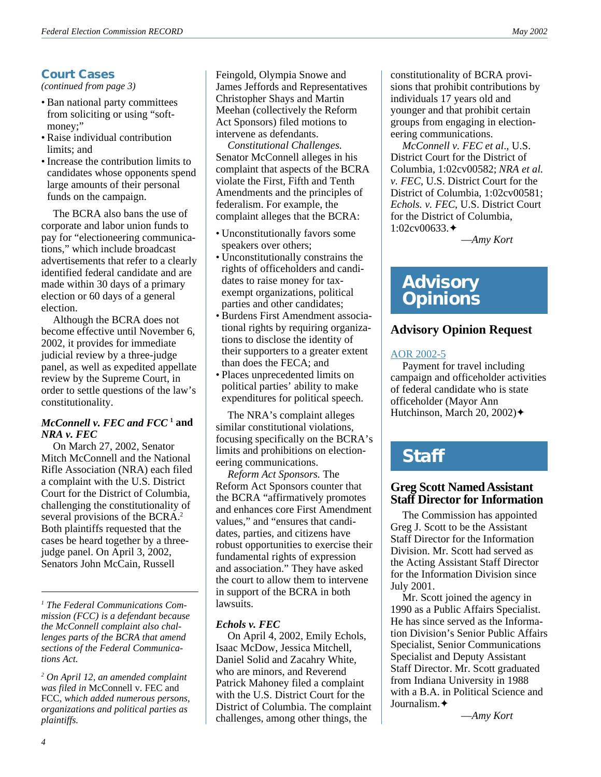# **Court Cases**

*(continued from page 3)*

- Ban national party committees from soliciting or using "softmoney:"
- Raise individual contribution limits; and
- Increase the contribution limits to candidates whose opponents spend large amounts of their personal funds on the campaign.

The BCRA also bans the use of corporate and labor union funds to pay for "electioneering communications," which include broadcast advertisements that refer to a clearly identified federal candidate and are made within 30 days of a primary election or 60 days of a general election.

Although the BCRA does not become effective until November 6, 2002, it provides for immediate judicial review by a three-judge panel, as well as expedited appellate review by the Supreme Court, in order to settle questions of the law's constitutionality.

### *McConnell v. FEC and FCC* **<sup>1</sup> and** *NRA v. FEC*

On March 27, 2002, Senator Mitch McConnell and the National Rifle Association (NRA) each filed a complaint with the U.S. District Court for the District of Columbia, challenging the constitutionality of several provisions of the BCRA.<sup>2</sup> Both plaintiffs requested that the cases be heard together by a threejudge panel. On April 3, 2002, Senators John McCain, Russell

*1 The Federal Communications Commission (FCC) is a defendant because the McConnell complaint also challenges parts of the BCRA that amend sections of the Federal Communications Act.*

*2 On April 12, an amended complaint was filed in* McConnell v. FEC and FCC*, which added numerous persons, organizations and political parties as plaintiffs.*

Feingold, Olympia Snowe and James Jeffords and Representatives Christopher Shays and Martin Meehan (collectively the Reform Act Sponsors) filed motions to intervene as defendants.

*Constitutional Challenges.* Senator McConnell alleges in his complaint that aspects of the BCRA violate the First, Fifth and Tenth Amendments and the principles of federalism. For example, the complaint alleges that the BCRA:

- Unconstitutionally favors some speakers over others;
- Unconstitutionally constrains the rights of officeholders and candidates to raise money for taxexempt organizations, political parties and other candidates;
- Burdens First Amendment associational rights by requiring organizations to disclose the identity of their supporters to a greater extent than does the FECA; and
- Places unprecedented limits on political parties' ability to make expenditures for political speech.

The NRA's complaint alleges similar constitutional violations, focusing specifically on the BCRA's limits and prohibitions on electioneering communications.

*Reform Act Sponsors.* The Reform Act Sponsors counter that the BCRA "affirmatively promotes and enhances core First Amendment values," and "ensures that candidates, parties, and citizens have robust opportunities to exercise their fundamental rights of expression and association." They have asked the court to allow them to intervene in support of the BCRA in both lawsuits.

### *Echols v. FEC*

On April 4, 2002, Emily Echols, Isaac McDow, Jessica Mitchell, Daniel Solid and Zacahry White, who are minors, and Reverend Patrick Mahoney filed a complaint with the U.S. District Court for the District of Columbia. The complaint challenges, among other things, the

constitutionality of BCRA provisions that prohibit contributions by individuals 17 years old and younger and that prohibit certain groups from engaging in electioneering communications.

*McConnell v. FEC et al*., U.S. District Court for the District of Columbia, 1:02cv00582; *NRA et al. v. FEC*, U.S. District Court for the District of Columbia, 1:02cv00581; *Echols. v. FEC*, U.S. District Court for the District of Columbia, 1:02cv00633.✦

—*Amy Kort*

# **Advisory Opinions**

# **Advisory Opinion Request**

### [AOR 2002-5](http://saos.fec.gov/saos/searchao)

Payment for travel including campaign and officeholder activities of federal candidate who is state officeholder (Mayor Ann Hutchinson, March 20, 2002) $\blacklozenge$ 

# **Staff**

### **Greg Scott Named Assistant Staff Director for Information**

The Commission has appointed Greg J. Scott to be the Assistant Staff Director for the Information Division. Mr. Scott had served as the Acting Assistant Staff Director for the Information Division since July 2001.

Mr. Scott joined the agency in 1990 as a Public Affairs Specialist. He has since served as the Information Division's Senior Public Affairs Specialist, Senior Communications Specialist and Deputy Assistant Staff Director. Mr. Scott graduated from Indiana University in 1988 with a B.A. in Political Science and Journalism.✦

—*Amy Kort*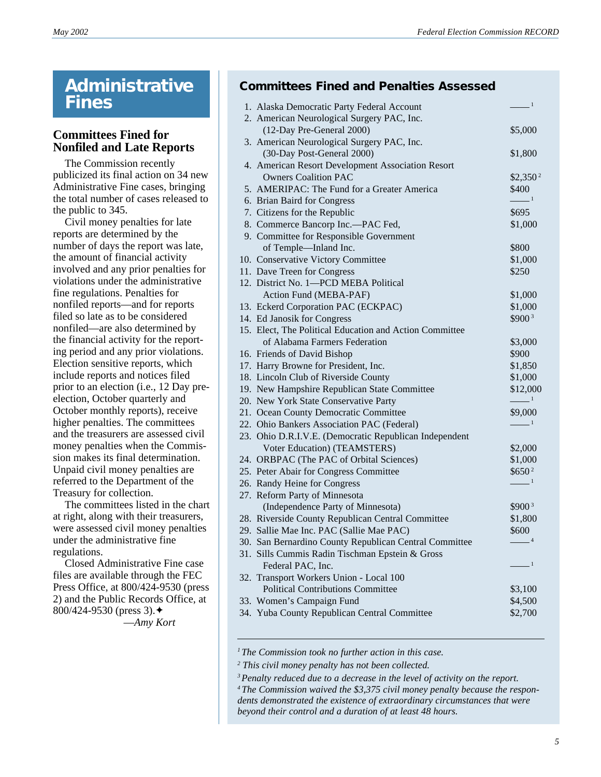# **Administrative Fines**

# **Committees Fined for Nonfiled and Late Reports**

The Commission recently publicized its final action on 34 new Administrative Fine cases, bringing the total number of cases released to the public to 345.

Civil money penalties for late reports are determined by the number of days the report was late, the amount of financial activity involved and any prior penalties for violations under the administrative fine regulations. Penalties for nonfiled reports—and for reports filed so late as to be considered nonfiled—are also determined by the financial activity for the reporting period and any prior violations. Election sensitive reports, which include reports and notices filed prior to an election (i.e., 12 Day preelection, October quarterly and October monthly reports), receive higher penalties. The committees and the treasurers are assessed civil money penalties when the Commission makes its final determination. Unpaid civil money penalties are referred to the Department of the Treasury for collection.

The committees listed in the chart at right, along with their treasurers, were assessed civil money penalties under the administrative fine regulations.

Closed Administrative Fine case files are available through the FEC Press Office, at 800/424-9530 (press 2) and the Public Records Office, at 800/424-9530 (press 3).✦ —*Amy Kort*

# **Committees Fined and Penalties Assessed**

| 1. Alaska Democratic Party Federal Account              | $\frac{1}{\sqrt{1-\frac{1}{2}}}$                          |
|---------------------------------------------------------|-----------------------------------------------------------|
| 2. American Neurological Surgery PAC, Inc.              |                                                           |
| (12-Day Pre-General 2000)                               | \$5,000                                                   |
| 3. American Neurological Surgery PAC, Inc.              |                                                           |
| (30-Day Post-General 2000)                              | \$1,800                                                   |
| 4. American Resort Development Association Resort       |                                                           |
| <b>Owners Coalition PAC</b>                             | $$2,350^2$                                                |
| 5. AMERIPAC: The Fund for a Greater America             | \$400                                                     |
| 6. Brian Baird for Congress                             | $\frac{1}{\sqrt{1-\frac{1}{2}}}$                          |
| 7. Citizens for the Republic                            | \$695                                                     |
| 8. Commerce Bancorp Inc.-PAC Fed,                       | \$1,000                                                   |
| 9. Committee for Responsible Government                 |                                                           |
| of Temple-Inland Inc.                                   | \$800                                                     |
| 10. Conservative Victory Committee                      | \$1,000                                                   |
| 11. Dave Treen for Congress                             | \$250                                                     |
| 12. District No. 1-PCD MEBA Political                   |                                                           |
| Action Fund (MEBA-PAF)                                  | \$1,000                                                   |
| 13. Eckerd Corporation PAC (ECKPAC)                     | \$1,000                                                   |
| 14. Ed Janosik for Congress                             | $$900^3$                                                  |
| 15. Elect, The Political Education and Action Committee |                                                           |
| of Alabama Farmers Federation                           | \$3,000                                                   |
| 16. Friends of David Bishop                             | \$900                                                     |
| 17. Harry Browne for President, Inc.                    | \$1,850                                                   |
| 18. Lincoln Club of Riverside County                    | \$1,000                                                   |
| 19. New Hampshire Republican State Committee            | \$12,000                                                  |
| 20. New York State Conservative Party                   | $\frac{1}{\sqrt{1-\frac{1}{2}}}$                          |
| 21. Ocean County Democratic Committee                   | \$9,000                                                   |
| 22. Ohio Bankers Association PAC (Federal)              | $\frac{1}{\sqrt{1-\frac{1}{2}}}$                          |
| 23. Ohio D.R.I.V.E. (Democratic Republican Independent  |                                                           |
| Voter Education) (TEAMSTERS)                            | \$2,000                                                   |
| 24. ORBPAC (The PAC of Orbital Sciences)                | \$1,000                                                   |
| 25. Peter Abair for Congress Committee                  | $$650^2$$                                                 |
| 26. Randy Heine for Congress                            | $\frac{1}{\sqrt{1-\frac{1}{2}}}\left  \frac{1}{2}\right $ |
| 27. Reform Party of Minnesota                           |                                                           |
| (Independence Party of Minnesota)                       | $$900^3$                                                  |
| 28. Riverside County Republican Central Committee       | \$1,800                                                   |
| 29. Sallie Mae Inc. PAC (Sallie Mae PAC)                | \$600                                                     |
| 30. San Bernardino County Republican Central Committee  | $-4$                                                      |
| 31. Sills Cummis Radin Tischman Epstein & Gross         |                                                           |
| Federal PAC, Inc.                                       | $-1$                                                      |
| 32. Transport Workers Union - Local 100                 |                                                           |
| <b>Political Contributions Committee</b>                | \$3,100                                                   |
| 33. Women's Campaign Fund                               | \$4,500                                                   |
| 34. Yuba County Republican Central Committee            | \$2,700                                                   |

*1The Commission took no further action in this case.*

*2 This civil money penalty has not been collected.*

*<sup>3</sup>Penalty reduced due to a decrease in the level of activity on the report.*

*<sup>4</sup> The Commission waived the \$3,375 civil money penalty because the respondents demonstrated the existence of extraordinary circumstances that were beyond their control and a duration of at least 48 hours.*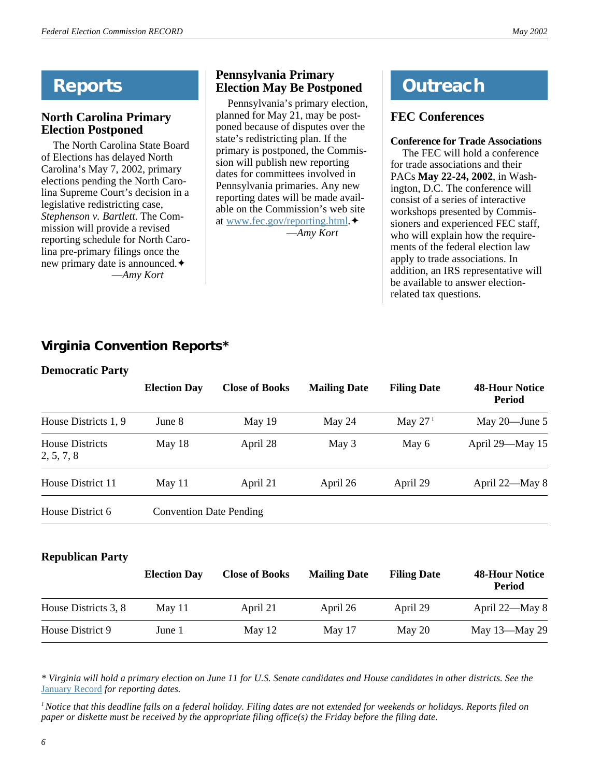# **Reports**

# **North Carolina Primary Election Postponed**

The North Carolina State Board of Elections has delayed North Carolina's May 7, 2002, primary elections pending the North Carolina Supreme Court's decision in a legislative redistricting case, *Stephenson v. Bartlett*. The Commission will provide a revised reporting schedule for North Carolina pre-primary filings once the new primary date is announced.✦ —*Amy Kort*

# **Pennsylvania Primary Election May Be Postponed**

Pennsylvania's primary election, planned for May 21, may be postponed because of disputes over the state's redistricting plan. If the primary is postponed, the Commission will publish new reporting dates for committees involved in Pennsylvania primaries. Any new reporting dates will be made available on the Commission's web site at [www.fec.gov/reporting.html](http://www.fec.gov/reporting.html).✦ —*Amy Kort*

# **Outreach**

# **FEC Conferences**

### **Conference for Trade Associations**

The FEC will hold a conference for trade associations and their PACs **May 22-24, 2002**, in Washington, D.C. The conference will consist of a series of interactive workshops presented by Commissioners and experienced FEC staff, who will explain how the requirements of the federal election law apply to trade associations. In addition, an IRS representative will be available to answer electionrelated tax questions.

# **Virginia Convention Reports\***

# **Democratic Party**

|                                                    | <b>Election Day</b> | <b>Close of Books</b> | <b>Mailing Date</b> | <b>Filing Date</b> | <b>48-Hour Notice</b><br><b>Period</b> |
|----------------------------------------------------|---------------------|-----------------------|---------------------|--------------------|----------------------------------------|
| House Districts 1, 9                               | June 8              | May $19$              | May 24              | May $271$          | May $20$ —June 5                       |
| <b>House Districts</b><br>2, 5, 7, 8               | May $18$            | April 28              | May 3               | May 6              | April 29-May 15                        |
| House District 11                                  | May 11              | April 21              | April 26            | April 29           | April 22-May 8                         |
| House District 6<br><b>Convention Date Pending</b> |                     |                       |                     |                    |                                        |

# **Republican Party**

|                      | <b>Election Day</b> | <b>Close of Books</b> | <b>Mailing Date</b> | <b>Filing Date</b> | <b>48-Hour Notice</b><br><b>Period</b> |
|----------------------|---------------------|-----------------------|---------------------|--------------------|----------------------------------------|
| House Districts 3, 8 | May 11              | April 21              | April 26            | April 29           | April 22—May 8                         |
| House District 9     | June 1              | May $12$              | May $17$            | May 20             | May 13-May 29                          |

*\* Virginia will hold a primary election on June 11 for U.S. Senate candidates and House candidates in other districts. See the* [January Record](http://www.fec.gov/pdf/jan02.pdf) *for reporting dates.*

*1 Notice that this deadline falls on a federal holiday. Filing dates are not extended for weekends or holidays. Reports filed on paper or diskette must be received by the appropriate filing office(s) the Friday before the filing date.*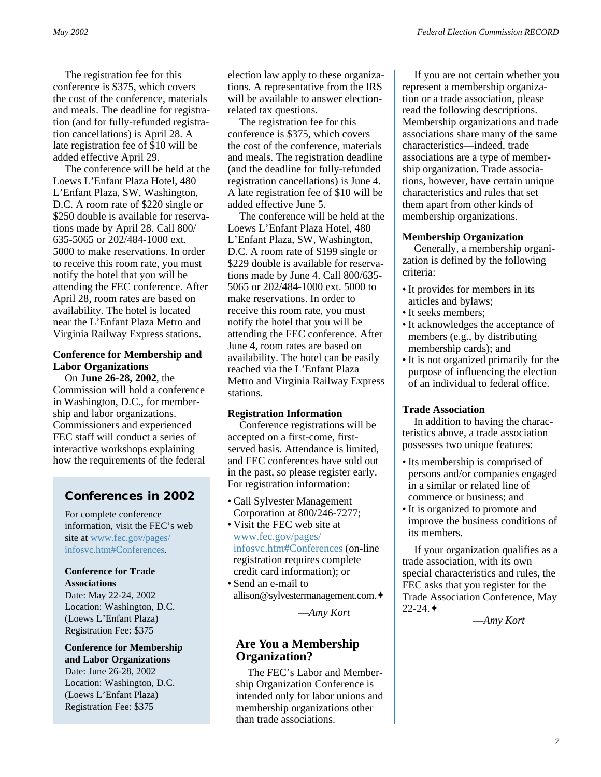The registration fee for this conference is \$375, which covers the cost of the conference, materials and meals. The deadline for registration (and for fully-refunded registration cancellations) is April 28. A late registration fee of \$10 will be added effective April 29.

The conference will be held at the Loews L'Enfant Plaza Hotel, 480 L'Enfant Plaza, SW, Washington, D.C. A room rate of \$220 single or \$250 double is available for reservations made by April 28. Call 800/ 635-5065 or 202/484-1000 ext. 5000 to make reservations. In order to receive this room rate, you must notify the hotel that you will be attending the FEC conference. After April 28, room rates are based on availability. The hotel is located near the L'Enfant Plaza Metro and Virginia Railway Express stations.

### **Conference for Membership and Labor Organizations**

On **June 26-28, 2002**, the Commission will hold a conference in Washington, D.C., for membership and labor organizations. Commissioners and experienced FEC staff will conduct a series of interactive workshops explaining how the requirements of the federal

# **Conferences in 2002**

For complete conference information, visit the FEC's web site at [www.fec.gov/pages/](http://www.fec.gov/pages/infosvc.htm#Conferences) [infosvc.htm#Conferences.](http://www.fec.gov/pages/infosvc.htm#Conferences)

#### **Conference for Trade Associations** Date: May 22-24, 2002

Location: Washington, D.C. (Loews L'Enfant Plaza) Registration Fee: \$375

**Conference for Membership and Labor Organizations** Date: June 26-28, 2002 Location: Washington, D.C. (Loews L'Enfant Plaza) Registration Fee: \$375

election law apply to these organizations. A representative from the IRS will be available to answer electionrelated tax questions.

The registration fee for this conference is \$375, which covers the cost of the conference, materials and meals. The registration deadline (and the deadline for fully-refunded registration cancellations) is June 4. A late registration fee of \$10 will be added effective June 5.

The conference will be held at the Loews L'Enfant Plaza Hotel, 480 L'Enfant Plaza, SW, Washington, D.C. A room rate of \$199 single or \$229 double is available for reservations made by June 4. Call 800/635- 5065 or 202/484-1000 ext. 5000 to make reservations. In order to receive this room rate, you must notify the hotel that you will be attending the FEC conference. After June 4, room rates are based on availability. The hotel can be easily reached via the L'Enfant Plaza Metro and Virginia Railway Express stations.

### **Registration Information**

Conference registrations will be accepted on a first-come, firstserved basis. Attendance is limited, and FEC conferences have sold out in the past, so please register early. For registration information:

- Call Sylvester Management Corporation at 800/246-7277;
- Visit the FEC web site at [www.fec.gov/pages/](http://www.fec.gov/pages/infosvc.htm#Conferences) [infosvc.htm#Conferences](http://www.fec.gov/pages/infosvc.htm#Conferences) (on-line registration requires complete credit card information); or
- Send an e-mail to allison@sylvestermanagement.com.✦

—*Amy Kort*

### **Are You a Membership Organization?**

The FEC's Labor and Membership Organization Conference is intended only for labor unions and membership organizations other than trade associations.

If you are not certain whether you represent a membership organization or a trade association, please read the following descriptions. Membership organizations and trade associations share many of the same characteristics—indeed, trade associations are a type of membership organization. Trade associations, however, have certain unique characteristics and rules that set them apart from other kinds of membership organizations.

### **Membership Organization**

Generally, a membership organization is defined by the following criteria:

- It provides for members in its articles and bylaws;
- It seeks members;
- It acknowledges the acceptance of members (e.g., by distributing membership cards); and
- It is not organized primarily for the purpose of influencing the election of an individual to federal office.

### **Trade Association**

In addition to having the characteristics above, a trade association possesses two unique features:

- Its membership is comprised of persons and/or companies engaged in a similar or related line of commerce or business; and
- It is organized to promote and improve the business conditions of its members.

If your organization qualifies as a trade association, with its own special characteristics and rules, the FEC asks that you register for the Trade Association Conference, May  $22 - 24.$ 

—*Amy Kort*